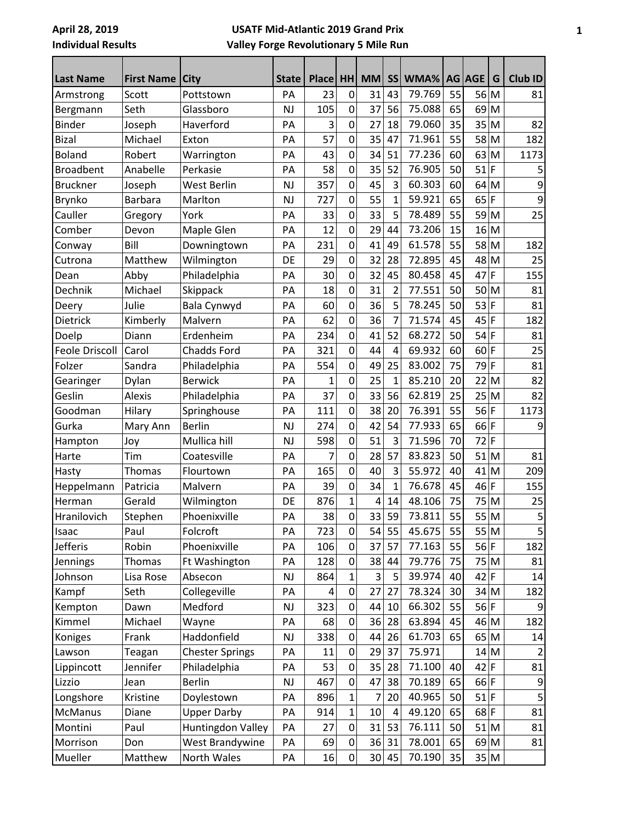## **USATF Mid-Atlantic 2019 Grand Prix Valley Forge Revolutionary 5 Mile Run**

| <b>Last Name</b>            | <b>First Name</b> | <b>City</b>                      | <b>State</b> | <b>Place</b> | <b>HH</b>           | <b>MM</b> |                 | SS WMA%          |          | AG AGE           | G    | <b>Club ID</b> |
|-----------------------------|-------------------|----------------------------------|--------------|--------------|---------------------|-----------|-----------------|------------------|----------|------------------|------|----------------|
| Armstrong                   | Scott             | Pottstown                        | PA           | 23           | 0                   | 31        | 43              | 79.769           | 55       | 56               | M    | 81             |
| Bergmann                    | Seth              | Glassboro                        | <b>NJ</b>    | 105          | $\mathbf 0$         | 37        | 56              | 75.088           | 65       | 69               | M    |                |
| <b>Binder</b>               | Joseph            | Haverford                        | PA           | 3            | $\mathbf 0$         | 27        | 18              | 79.060           | 35       | 35               | M    | 82             |
| <b>Bizal</b>                | Michael           | Exton                            | PA           | 57           | $\overline{0}$      | 35        | 47              | 71.961           | 55       | 58 M             |      | 182            |
| <b>Boland</b>               | Robert            | Warrington                       | PA           | 43           | $\mathbf 0$         | 34        | 51              | 77.236           | 60       | 63               | M    | 1173           |
| <b>Broadbent</b>            | Anabelle          | Perkasie                         | PA           | 58           | $\overline{0}$      | 35        | 52              | 76.905           | 50       | 51               | F    | 5              |
| <b>Bruckner</b>             | Joseph            | West Berlin                      | <b>NJ</b>    | 357          | $\overline{0}$      | 45        | 3               | 60.303           | 60       | $64$ M           |      | 9              |
| Brynko                      | <b>Barbara</b>    | Marlton                          | <b>NJ</b>    | 727          | $\overline{0}$      | 55        | 1               | 59.921           | 65       | 65               | F    | 9              |
| Cauller                     | Gregory           | York                             | PA           | 33           | $\mathbf 0$         | 33        | 5               | 78.489           | 55       | 59 M             |      | 25             |
| Comber                      | Devon             | Maple Glen                       | PA           | 12           | $\overline{0}$      | 29        | 44              | 73.206           | 15       | 16               | M    |                |
| Conway                      | Bill              | Downingtown                      | PA           | 231          | $\mathbf 0$         | 41        | 49              | 61.578           | 55       | 58 M             |      | 182            |
| Cutrona                     | Matthew           | Wilmington                       | DE           | 29           | $\overline{0}$      | 32        | 28              | 72.895           | 45       | 48 M             |      | 25             |
| Dean                        | Abby              | Philadelphia                     | PA           | 30           | $\overline{0}$      | 32        | 45              | 80.458           | 45       | 47               | F    | 155            |
| Dechnik                     | Michael           | Skippack                         | PA           | 18           | $\mathbf 0$         | 31        | $\overline{2}$  | 77.551           | 50       | 50 M             |      | 81             |
| Deery                       | Julie             | Bala Cynwyd                      | PA           | 60           | $\mathbf 0$         | 36        | 5               | 78.245           | 50       | 53               | F    | 81             |
| Dietrick                    | Kimberly          | Malvern                          | PA           | 62           | $\overline{0}$      | 36        | $\overline{7}$  | 71.574           | 45       | $45$ F           |      | 182            |
| Doelp                       | Diann             | Erdenheim                        | PA           | 234          | $\overline{0}$      | 41        | 52              | 68.272           | 50       | $54$ F           |      | 81             |
| <b>Feole Driscoll</b>       | Carol             | <b>Chadds Ford</b>               | PA           | 321          | $\overline{0}$      | 44        | 4               | 69.932           | 60       | $60$ F           |      | 25             |
| Folzer                      | Sandra            | Philadelphia                     | PA           | 554          | $\overline{0}$      | 49        | 25              | 83.002           | 75       | 79               | ١F   | 81             |
| Gearinger                   | Dylan             | <b>Berwick</b>                   | PA           | 1            | $\mathbf 0$         | 25        | 1               | 85.210           | 20       | 22               | M    | 82             |
| Geslin                      | Alexis            | Philadelphia                     | PA           | 37           | $\mathbf 0$         | 33        | 56              | 62.819           | 25       | 25 M             |      | 82             |
| Goodman                     | Hilary            | Springhouse                      | PA           | 111          | $\overline{0}$      | 38        | 20              | 76.391           | 55       | 56 F             |      | 1173           |
| Gurka                       | Mary Ann          | <b>Berlin</b>                    | <b>NJ</b>    | 274          | $\overline{0}$      | 42        | 54              | 77.933           | 65       | $66$ F           |      | 9              |
| Hampton                     | Joy               | Mullica hill                     | <b>NJ</b>    | 598          | $\overline{0}$      | 51        | 3               | 71.596           | 70       | 72               | F    |                |
| Harte                       | Tim               | Coatesville                      | PA           | 7            | $\mathbf 0$         | 28        | 57              | 83.823           | 50       | 51 M             |      | 81             |
| Hasty                       | Thomas            | Flourtown                        | PA           | 165          | $\overline{0}$      | 40        | 3               | 55.972           | 40       | 41 M             |      | 209            |
| Heppelmann                  | Patricia          | Malvern                          | PA           | 39           | $\mathbf 0$         | 34        | 1               | 76.678           | 45       | 46               | F    | 155            |
| Herman                      | Gerald            | Wilmington                       | DE           | 876          | $\mathbf{1}$        | 4         | 14              | 48.106           | 75       | 75 M             |      | 25             |
| Hranilovich                 | Stephen           | Phoenixville                     | PA           | 38           | $\overline{0}$      | 33        | 59              | 73.811           | 55       |                  | 55 M | 5              |
| Isaac                       | Paul              | Folcroft                         | PA           | 723          | 0                   | 54        | 55              | 45.675           | 55       | 55 M             |      | $\mathsf S$    |
| Jefferis                    | Robin             | Phoenixville                     | PA           | 106          | $\mathbf 0$         | 37        | 57              | 77.163           | 55       | $56$ F           |      | 182            |
| Jennings                    | Thomas            | Ft Washington                    | PA           | 128          | 0                   | 38        | 44              | 79.776           | 75       | 75 M             |      | 81             |
| Johnson                     | Lisa Rose         | Absecon                          | NJ           | 864          | $\mathbf{1}$        | 3         | 5               | 39.974           | 40       | $42$ F           |      | 14             |
| Kampf                       | Seth              | Collegeville                     | PA           | 4            | 0                   | 27        | 27              | 78.324           | 30       | 34 M             |      | 182            |
| Kempton                     | Dawn              | Medford                          | NJ           | 323          | $\mathbf 0$         | 44        | 10              | 66.302           | 55       | 56 F             |      | 9              |
| Kimmel                      | Michael           | Wayne                            | PA           | 68           | 0                   | 36        | 28              | 63.894           | 45       | 46 M             |      | 182            |
| Koniges                     | Frank             | Haddonfield                      | NJ           | 338          | 0<br>$\overline{0}$ | 44        | 26              | 61.703<br>75.971 | 65       | 65 M             |      | 14             |
| Lawson                      | Teagan            | <b>Chester Springs</b>           | PA           | 11           | 0                   | 29        | 37              |                  |          | 14 M<br>$42$ F   |      | $\overline{2}$ |
| Lippincott                  | Jennifer          | Philadelphia                     | PA           | 53           | $\mathbf 0$         | 35        | 28              | 71.100<br>70.189 | 40<br>65 | $66$ F           |      | 81             |
| Lizzio                      | Jean              | <b>Berlin</b>                    | NJ           | 467          |                     | 47        | 38              | 40.965           | 50       |                  |      | 9<br>5         |
| Longshore<br><b>McManus</b> | Kristine<br>Diane | Doylestown<br><b>Upper Darby</b> | PA<br>PA     | 896<br>914   | 1<br>$\mathbf{1}$   | 7<br>10   | 20<br>$\pmb{4}$ | 49.120           | 65       | $51$ F<br>$68$ F |      | 81             |
| Montini                     | Paul              | <b>Huntingdon Valley</b>         | PA           | 27           | $\pmb{0}$           | 31        | 53              | 76.111           | 50       | 51 M             |      | 81             |
| Morrison                    | Don               | West Brandywine                  | PA           | 69           | 0                   | 36        | 31              | 78.001           | 65       | 69 M             |      | 81             |
| Mueller                     | Matthew           | North Wales                      | PA           | 16           | 0                   |           | 30 45           | 70.190           | 35       |                  | 35 M |                |
|                             |                   |                                  |              |              |                     |           |                 |                  |          |                  |      |                |